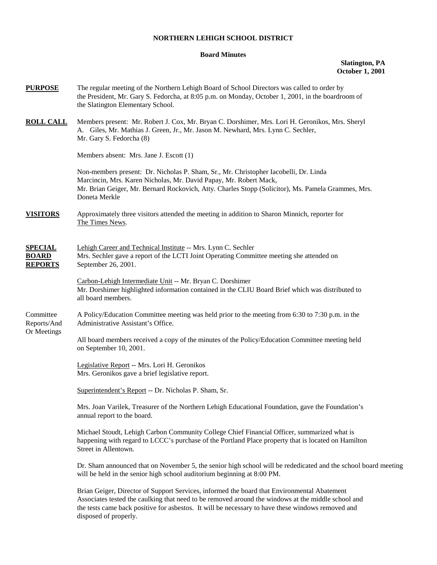## **NORTHERN LEHIGH SCHOOL DISTRICT**

## **Board Minutes**

**Slatington, PA October 1, 2001** 

| <u>PURPOSE</u>                                   | The regular meeting of the Northern Lehigh Board of School Directors was called to order by<br>the President, Mr. Gary S. Fedorcha, at 8:05 p.m. on Monday, October 1, 2001, in the boardroom of<br>the Slatington Elementary School.                                                                                           |
|--------------------------------------------------|---------------------------------------------------------------------------------------------------------------------------------------------------------------------------------------------------------------------------------------------------------------------------------------------------------------------------------|
| <u>ROLL CALL</u>                                 | Members present: Mr. Robert J. Cox, Mr. Bryan C. Dorshimer, Mrs. Lori H. Geronikos, Mrs. Sheryl<br>A. Giles, Mr. Mathias J. Green, Jr., Mr. Jason M. Newhard, Mrs. Lynn C. Sechler,<br>Mr. Gary S. Fedorcha (8)                                                                                                                 |
|                                                  | Members absent: Mrs. Jane J. Escott (1)                                                                                                                                                                                                                                                                                         |
|                                                  | Non-members present: Dr. Nicholas P. Sham, Sr., Mr. Christopher Iacobelli, Dr. Linda<br>Marcincin, Mrs. Karen Nicholas, Mr. David Papay, Mr. Robert Mack,<br>Mr. Brian Geiger, Mr. Bernard Rockovich, Atty. Charles Stopp (Solicitor), Ms. Pamela Grammes, Mrs.<br>Doneta Merkle                                                |
| <u>VISITORS</u>                                  | Approximately three visitors attended the meeting in addition to Sharon Minnich, reporter for<br>The Times News.                                                                                                                                                                                                                |
| <u>SPECIAL</u><br><b>BOARD</b><br><b>REPORTS</b> | Lehigh Career and Technical Institute -- Mrs. Lynn C. Sechler<br>Mrs. Sechler gave a report of the LCTI Joint Operating Committee meeting she attended on<br>September 26, 2001.                                                                                                                                                |
|                                                  | Carbon-Lehigh Intermediate Unit -- Mr. Bryan C. Dorshimer<br>Mr. Dorshimer highlighted information contained in the CLIU Board Brief which was distributed to<br>all board members.                                                                                                                                             |
| Committee<br>Reports/And<br>Or Meetings          | A Policy/Education Committee meeting was held prior to the meeting from 6:30 to 7:30 p.m. in the<br>Administrative Assistant's Office.                                                                                                                                                                                          |
|                                                  | All board members received a copy of the minutes of the Policy/Education Committee meeting held<br>on September 10, 2001.                                                                                                                                                                                                       |
|                                                  | Legislative Report -- Mrs. Lori H. Geronikos<br>Mrs. Geronikos gave a brief legislative report.                                                                                                                                                                                                                                 |
|                                                  | Superintendent's Report -- Dr. Nicholas P. Sham, Sr.                                                                                                                                                                                                                                                                            |
|                                                  | Mrs. Joan Varilek, Treasurer of the Northern Lehigh Educational Foundation, gave the Foundation's<br>annual report to the board.                                                                                                                                                                                                |
|                                                  | Michael Stoudt, Lehigh Carbon Community College Chief Financial Officer, summarized what is<br>happening with regard to LCCC's purchase of the Portland Place property that is located on Hamilton<br>Street in Allentown.                                                                                                      |
|                                                  | Dr. Sham announced that on November 5, the senior high school will be rededicated and the school board meeting<br>will be held in the senior high school auditorium beginning at 8:00 PM.                                                                                                                                       |
|                                                  | Brian Geiger, Director of Support Services, informed the board that Environmental Abatement<br>Associates tested the caulking that need to be removed around the windows at the middle school and<br>the tests came back positive for asbestos. It will be necessary to have these windows removed and<br>disposed of properly. |
|                                                  |                                                                                                                                                                                                                                                                                                                                 |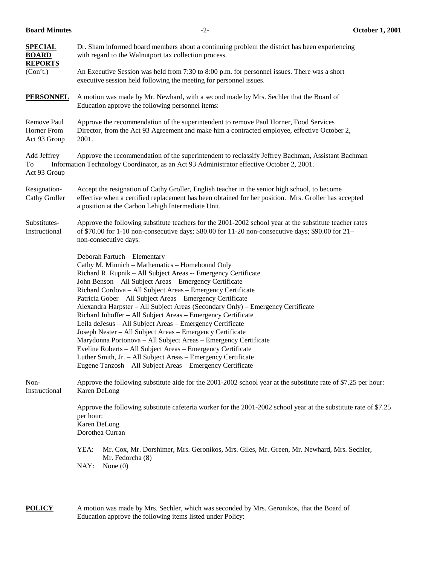| <b>SPECIAL</b><br><b>BOARD</b><br><b>REPORTS</b> | Dr. Sham informed board members about a continuing problem the district has been experiencing<br>with regard to the Walnutport tax collection process.                                                                                                                                                                                                                                                                                                                                                                                                                                                                                                                                                                                                                                                                                                                                  |  |  |
|--------------------------------------------------|-----------------------------------------------------------------------------------------------------------------------------------------------------------------------------------------------------------------------------------------------------------------------------------------------------------------------------------------------------------------------------------------------------------------------------------------------------------------------------------------------------------------------------------------------------------------------------------------------------------------------------------------------------------------------------------------------------------------------------------------------------------------------------------------------------------------------------------------------------------------------------------------|--|--|
| (Con't.)                                         | An Executive Session was held from 7:30 to 8:00 p.m. for personnel issues. There was a short<br>executive session held following the meeting for personnel issues.                                                                                                                                                                                                                                                                                                                                                                                                                                                                                                                                                                                                                                                                                                                      |  |  |
| <b>PERSONNEL</b>                                 | A motion was made by Mr. Newhard, with a second made by Mrs. Sechler that the Board of<br>Education approve the following personnel items:                                                                                                                                                                                                                                                                                                                                                                                                                                                                                                                                                                                                                                                                                                                                              |  |  |
| Remove Paul<br>Horner From<br>Act 93 Group       | Approve the recommendation of the superintendent to remove Paul Horner, Food Services<br>Director, from the Act 93 Agreement and make him a contracted employee, effective October 2,<br>2001.                                                                                                                                                                                                                                                                                                                                                                                                                                                                                                                                                                                                                                                                                          |  |  |
| Add Jeffrey<br>To<br>Act 93 Group                | Approve the recommendation of the superintendent to reclassify Jeffrey Bachman, Assistant Bachman<br>Information Technology Coordinator, as an Act 93 Administrator effective October 2, 2001.                                                                                                                                                                                                                                                                                                                                                                                                                                                                                                                                                                                                                                                                                          |  |  |
| Resignation-<br>Cathy Groller                    | Accept the resignation of Cathy Groller, English teacher in the senior high school, to become<br>effective when a certified replacement has been obtained for her position. Mrs. Groller has accepted<br>a position at the Carbon Lehigh Intermediate Unit.                                                                                                                                                                                                                                                                                                                                                                                                                                                                                                                                                                                                                             |  |  |
| Substitutes-<br>Instructional                    | Approve the following substitute teachers for the 2001-2002 school year at the substitute teacher rates<br>of \$70.00 for 1-10 non-consecutive days; \$80.00 for 11-20 non-consecutive days; \$90.00 for $21+$<br>non-consecutive days:                                                                                                                                                                                                                                                                                                                                                                                                                                                                                                                                                                                                                                                 |  |  |
|                                                  | Deborah Fartuch - Elementary<br>Cathy M. Minnich - Mathematics - Homebound Only<br>Richard R. Rupnik - All Subject Areas -- Emergency Certificate<br>John Benson - All Subject Areas - Emergency Certificate<br>Richard Cordova - All Subject Areas - Emergency Certificate<br>Patricia Gober - All Subject Areas - Emergency Certificate<br>Alexandra Harpster - All Subject Areas (Secondary Only) - Emergency Certificate<br>Richard Inhoffer - All Subject Areas - Emergency Certificate<br>Leila deJesus - All Subject Areas - Emergency Certificate<br>Joseph Nester - All Subject Areas - Emergency Certificate<br>Marydonna Portonova - All Subject Areas - Emergency Certificate<br>Eveline Roberts - All Subject Areas - Emergency Certificate<br>Luther Smith, Jr. - All Subject Areas - Emergency Certificate<br>Eugene Tanzosh - All Subject Areas - Emergency Certificate |  |  |
| Non-<br>Instructional                            | Approve the following substitute aide for the 2001-2002 school year at the substitute rate of \$7.25 per hour:<br>Karen DeLong                                                                                                                                                                                                                                                                                                                                                                                                                                                                                                                                                                                                                                                                                                                                                          |  |  |
|                                                  | Approve the following substitute cafeteria worker for the 2001-2002 school year at the substitute rate of \$7.25<br>per hour:<br>Karen DeLong<br>Dorothea Curran                                                                                                                                                                                                                                                                                                                                                                                                                                                                                                                                                                                                                                                                                                                        |  |  |
|                                                  | YEA:<br>Mr. Cox, Mr. Dorshimer, Mrs. Geronikos, Mrs. Giles, Mr. Green, Mr. Newhard, Mrs. Sechler,<br>Mr. Fedorcha (8)<br>NAY:<br>None $(0)$                                                                                                                                                                                                                                                                                                                                                                                                                                                                                                                                                                                                                                                                                                                                             |  |  |

**POLICY** A motion was made by Mrs. Sechler, which was seconded by Mrs. Geronikos, that the Board of Education approve the following items listed under Policy: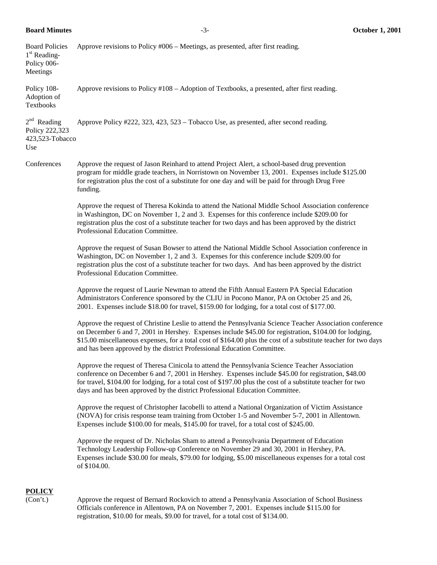**Board Minutes** -3- **October 1, 2001** 

| <b>Board Policies</b><br>1 <sup>st</sup> Reading-<br>Policy 006-<br>Meetings | Approve revisions to Policy #006 – Meetings, as presented, after first reading.                                                                                                                                                                                                                                                                                                                                   |
|------------------------------------------------------------------------------|-------------------------------------------------------------------------------------------------------------------------------------------------------------------------------------------------------------------------------------------------------------------------------------------------------------------------------------------------------------------------------------------------------------------|
| Policy 108-<br>Adoption of<br>Textbooks                                      | Approve revisions to Policy #108 – Adoption of Textbooks, a presented, after first reading.                                                                                                                                                                                                                                                                                                                       |
| $2nd$ Reading<br>Policy 222,323<br>423,523-Tobacco<br>Use                    | Approve Policy #222, 323, 423, 523 – Tobacco Use, as presented, after second reading.                                                                                                                                                                                                                                                                                                                             |
| Conferences                                                                  | Approve the request of Jason Reinhard to attend Project Alert, a school-based drug prevention<br>program for middle grade teachers, in Norristown on November 13, 2001. Expenses include \$125.00<br>for registration plus the cost of a substitute for one day and will be paid for through Drug Free<br>funding.                                                                                                |
|                                                                              | Approve the request of Theresa Kokinda to attend the National Middle School Association conference<br>in Washington, DC on November 1, 2 and 3. Expenses for this conference include \$209.00 for<br>registration plus the cost of a substitute teacher for two days and has been approved by the district<br>Professional Education Committee.                                                                   |
|                                                                              | Approve the request of Susan Bowser to attend the National Middle School Association conference in<br>Washington, DC on November 1, 2 and 3. Expenses for this conference include \$209.00 for<br>registration plus the cost of a substitute teacher for two days. And has been approved by the district<br>Professional Education Committee.                                                                     |
|                                                                              | Approve the request of Laurie Newman to attend the Fifth Annual Eastern PA Special Education<br>Administrators Conference sponsored by the CLIU in Pocono Manor, PA on October 25 and 26,<br>2001. Expenses include \$18.00 for travel, \$159.00 for lodging, for a total cost of \$177.00.                                                                                                                       |
|                                                                              | Approve the request of Christine Leslie to attend the Pennsylvania Science Teacher Association conference<br>on December 6 and 7, 2001 in Hershey. Expenses include \$45.00 for registration, \$104.00 for lodging,<br>\$15.00 miscellaneous expenses, for a total cost of \$164.00 plus the cost of a substitute teacher for two days<br>and has been approved by the district Professional Education Committee. |
|                                                                              | Approve the request of Theresa Cinicola to attend the Pennsylvania Science Teacher Association<br>conference on December 6 and 7, 2001 in Hershey. Expenses include \$45.00 for registration, \$48.00<br>for travel, \$104.00 for lodging, for a total cost of \$197.00 plus the cost of a substitute teacher for two<br>days and has been approved by the district Professional Education Committee.             |
|                                                                              | Approve the request of Christopher Iacobelli to attend a National Organization of Victim Assistance<br>(NOVA) for crisis response team training from October 1-5 and November 5-7, 2001 in Allentown.<br>Expenses include \$100.00 for meals, \$145.00 for travel, for a total cost of \$245.00.                                                                                                                  |
|                                                                              | Approve the request of Dr. Nicholas Sham to attend a Pennsylvania Department of Education<br>Technology Leadership Follow-up Conference on November 29 and 30, 2001 in Hershey, PA.<br>Expenses include \$30.00 for meals, \$79.00 for lodging, \$5.00 miscellaneous expenses for a total cost<br>of \$104.00.                                                                                                    |
| <b>POLICY</b>                                                                |                                                                                                                                                                                                                                                                                                                                                                                                                   |

(Con't.) Approve the request of Bernard Rockovich to attend a Pennsylvania Association of School Business Officials conference in Allentown, PA on November 7, 2001. Expenses include \$115.00 for registration, \$10.00 for meals, \$9.00 for travel, for a total cost of \$134.00.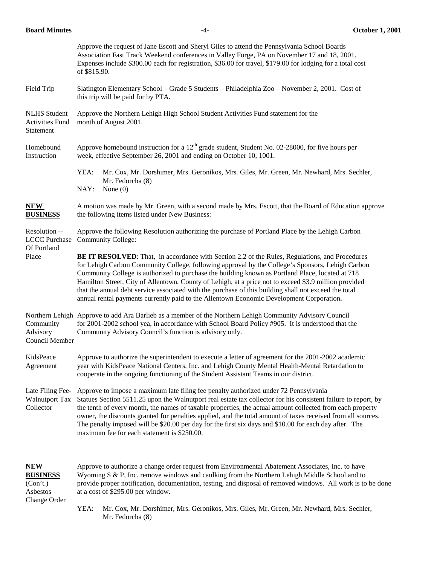| <b>Board Minutes</b>                                          | $-4-$                                                                                                                                                                                                                                                                                                                                                                                                                                                                                                                                                                                                                       | <b>October 1, 2001</b> |
|---------------------------------------------------------------|-----------------------------------------------------------------------------------------------------------------------------------------------------------------------------------------------------------------------------------------------------------------------------------------------------------------------------------------------------------------------------------------------------------------------------------------------------------------------------------------------------------------------------------------------------------------------------------------------------------------------------|------------------------|
|                                                               | Approve the request of Jane Escott and Sheryl Giles to attend the Pennsylvania School Boards<br>Association Fast Track Weekend conferences in Valley Forge, PA on November 17 and 18, 2001.<br>Expenses include \$300.00 each for registration, \$36.00 for travel, \$179.00 for lodging for a total cost<br>of \$815.90.                                                                                                                                                                                                                                                                                                   |                        |
| Field Trip                                                    | Slatington Elementary School – Grade 5 Students – Philadelphia Zoo – November 2, 2001. Cost of<br>this trip will be paid for by PTA.                                                                                                                                                                                                                                                                                                                                                                                                                                                                                        |                        |
| <b>NLHS</b> Student<br><b>Activities Fund</b><br>Statement    | Approve the Northern Lehigh High School Student Activities Fund statement for the<br>month of August 2001.                                                                                                                                                                                                                                                                                                                                                                                                                                                                                                                  |                        |
| Homebound<br>Instruction                                      | Approve homebound instruction for a $12th$ grade student, Student No. 02-28000, for five hours per<br>week, effective September 26, 2001 and ending on October 10, 1001.                                                                                                                                                                                                                                                                                                                                                                                                                                                    |                        |
|                                                               | YEA:<br>Mr. Cox, Mr. Dorshimer, Mrs. Geronikos, Mrs. Giles, Mr. Green, Mr. Newhard, Mrs. Sechler,<br>Mr. Fedorcha (8)<br>NAY:<br>None $(0)$                                                                                                                                                                                                                                                                                                                                                                                                                                                                                 |                        |
| NEW<br><b>BUSINESS</b>                                        | A motion was made by Mr. Green, with a second made by Mrs. Escott, that the Board of Education approve<br>the following items listed under New Business:                                                                                                                                                                                                                                                                                                                                                                                                                                                                    |                        |
| Resolution --<br><b>LCCC</b> Purchase<br>Of Portland<br>Place | Approve the following Resolution authorizing the purchase of Portland Place by the Lehigh Carbon<br><b>Community College:</b>                                                                                                                                                                                                                                                                                                                                                                                                                                                                                               |                        |
|                                                               | <b>BE IT RESOLVED:</b> That, in accordance with Section 2.2 of the Rules, Regulations, and Procedures<br>for Lehigh Carbon Community College, following approval by the College's Sponsors, Lehigh Carbon<br>Community College is authorized to purchase the building known as Portland Place, located at 718<br>Hamilton Street, City of Allentown, County of Lehigh, at a price not to exceed \$3.9 million provided<br>that the annual debt service associated with the purchase of this building shall not exceed the total<br>annual rental payments currently paid to the Allentown Economic Development Corporation. |                        |
| Community<br>Advisory<br>Council Member                       | Northern Lehigh Approve to add Ara Barlieb as a member of the Northern Lehigh Community Advisory Council<br>for 2001-2002 school yea, in accordance with School Board Policy #905. It is understood that the<br>Community Advisory Council's function is advisory only.                                                                                                                                                                                                                                                                                                                                                     |                        |
| KidsPeace<br>Agreement                                        | Approve to authorize the superintendent to execute a letter of agreement for the 2001-2002 academic<br>year with KidsPeace National Centers, Inc. and Lehigh County Mental Health-Mental Retardation to<br>cooperate in the ongoing functioning of the Student Assistant Teams in our district.                                                                                                                                                                                                                                                                                                                             |                        |
| Late Filing Fee-<br><b>Walnutport Tax</b><br>Collector        | Approve to impose a maximum late filing fee penalty authorized under 72 Pennsylvania<br>Statues Section 5511.25 upon the Walnutport real estate tax collector for his consistent failure to report, by<br>the tenth of every month, the names of taxable properties, the actual amount collected from each property<br>owner, the discounts granted for penalties applied, and the total amount of taxes received from all sources.<br>The penalty imposed will be \$20.00 per day for the first six days and \$10.00 for each day after. The<br>maximum fee for each statement is \$250.00.                                |                        |
| <b>NEW</b><br><b>BUSINESS</b><br>(Con't.)<br>Asbestos         | Approve to authorize a change order request from Environmental Abatement Associates, Inc. to have<br>Wyoming S & P, Inc. remove windows and caulking from the Northern Lehigh Middle School and to<br>provide proper notification, documentation, testing, and disposal of removed windows. All work is to be done<br>at a cost of \$295.00 per window.                                                                                                                                                                                                                                                                     |                        |

Change Order

YEA: Mr. Cox, Mr. Dorshimer, Mrs. Geronikos, Mrs. Giles, Mr. Green, Mr. Newhard, Mrs. Sechler, Mr. Fedorcha (8)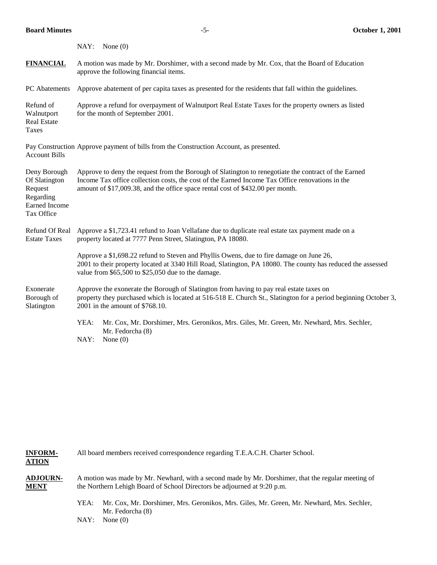|                                                                                             | NAY: None(0)                                                                                                                                                                                                                                                                              |
|---------------------------------------------------------------------------------------------|-------------------------------------------------------------------------------------------------------------------------------------------------------------------------------------------------------------------------------------------------------------------------------------------|
| <b>FINANCIAL</b>                                                                            | A motion was made by Mr. Dorshimer, with a second made by Mr. Cox, that the Board of Education<br>approve the following financial items.                                                                                                                                                  |
| PC Abatements                                                                               | Approve abatement of per capita taxes as presented for the residents that fall within the guidelines.                                                                                                                                                                                     |
| Refund of<br>Walnutport<br><b>Real Estate</b><br>Taxes                                      | Approve a refund for overpayment of Walnutport Real Estate Taxes for the property owners as listed<br>for the month of September 2001.                                                                                                                                                    |
| <b>Account Bills</b>                                                                        | Pay Construction Approve payment of bills from the Construction Account, as presented.                                                                                                                                                                                                    |
| Deny Borough<br>Of Slatington<br>Request<br>Regarding<br><b>Earned Income</b><br>Tax Office | Approve to deny the request from the Borough of Slatington to renegotiate the contract of the Earned<br>Income Tax office collection costs, the cost of the Earned Income Tax Office renovations in the<br>amount of \$17,009.38, and the office space rental cost of \$432.00 per month. |
| Refund Of Real<br><b>Estate Taxes</b>                                                       | Approve a \$1,723.41 refund to Joan Vellafane due to duplicate real estate tax payment made on a<br>property located at 7777 Penn Street, Slatington, PA 18080.                                                                                                                           |
|                                                                                             | Approve a \$1,698.22 refund to Steven and Phyllis Owens, due to fire damage on June 26,<br>2001 to their property located at 3340 Hill Road, Slatington, PA 18080. The county has reduced the assessed<br>value from \$65,500 to \$25,050 due to the damage.                              |
| Exonerate<br>Borough of<br>Slatington                                                       | Approve the exonerate the Borough of Slatington from having to pay real estate taxes on<br>property they purchased which is located at 516-518 E. Church St., Slatington for a period beginning October 3,<br>2001 in the amount of \$768.10.                                             |
|                                                                                             | YEA:<br>Mr. Cox, Mr. Dorshimer, Mrs. Geronikos, Mrs. Giles, Mr. Green, Mr. Newhard, Mrs. Sechler,<br>Mr. Fedorcha (8)<br>NAY:<br>None $(0)$                                                                                                                                               |

**INFORM-** All board members received correspondence regarding T.E.A.C.H. Charter School. **ATION** 

**ADJOURN-** A motion was made by Mr. Newhard, with a second made by Mr. Dorshimer, that the regular meeting of **MENT** the Northern Lehigh Board of School Directors be adjourned at 9:20 p.m.

> YEA: Mr. Cox, Mr. Dorshimer, Mrs. Geronikos, Mrs. Giles, Mr. Green, Mr. Newhard, Mrs. Sechler, Mr. Fedorcha (8)

NAY: None (0)